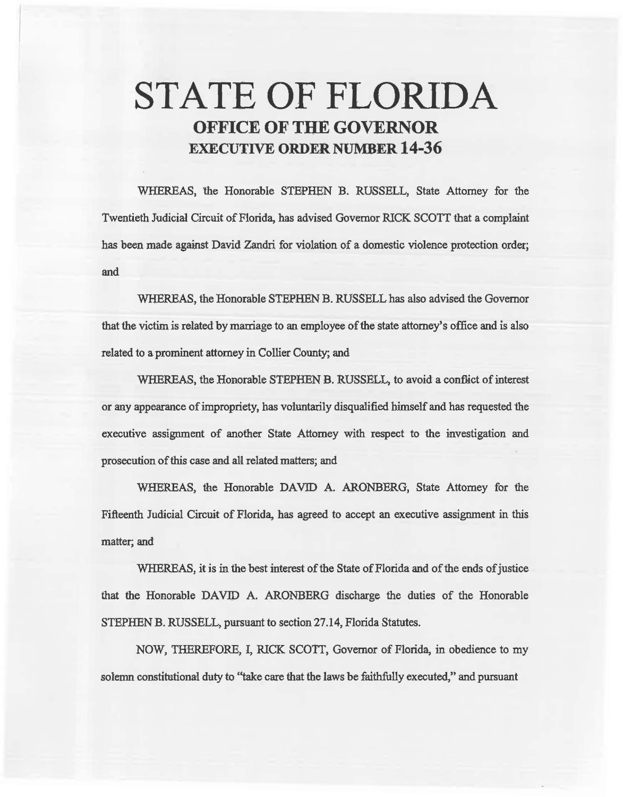# STATE OF FLORIDA OFFICE OF THE GOVERNOR EXECUTIVE ORDER NUMBER 14-36

WHEREAS, the Honorable STEPHEN B. RUSSELL, State Attorney for the Twentieth Judicial Circeit of Florida, has advised Governor RICK SCOTT that a complaint has been made against David Zandri for violation of a domestic violence protection order; and

WHEREAS, the Honorable STEPHEN B. RUSSELL has also advised the Governor that the victim is related by marriage to an employee of the state attorney's office and is also related to a prominent attorney in Collier County; and

WHEREAS, the Honorable STEPHEN B. RUSSELL, to avoid a conflict of interest or any appearance of impropriety, has voluntarily disqualified himself and has requested the executive assignment of another State Attorney with respect to the investigation and prosecution of this case and ali related matters; and

WHEREAS, the Honorable DAVID A. ARONBERG, State Attorney for the Fifteenth Judicial Circuit of Florida, has agreed to accept an executive assignment in this matter; and

WHEREAS, it is in the best interest of the State of Florida and of the ends of justice that the Honorable DAVID A. ARONBERG discharge the duties of the Honorable STEPHEN B. RUSSELL, parsaant to section 27.14, Florida Statutes.

NOW, THEREFORE, I, RICK SCOTT, Governor of Florida, in obedience to my solemn constitutional duty to "take care that the laws be faithfully executed," and pursuant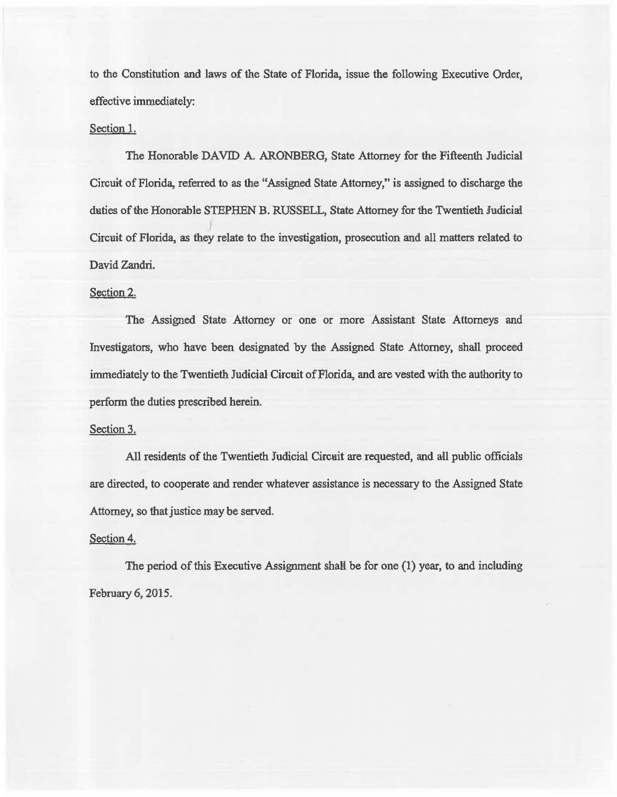to the Constitation and laws of the State of Florida, issue the following Executive Order, effective immediately:

## Section 1.

The Honorable DAVID A. ARONBERO, State Attorney for the Fifteenth Judicial Circuit of Florida, referred to as the "Assigned State Attorney," is assigned to discharge the daties of the Honorable STEPHEN B. RUSSELL, State Attorney for the Twentieth Judicial Circuit of Florida, as they relate to the investigation, prosecution and all matters related to David Zandri.

#### Section 2.

The Assigned State Attorney or one or more Assistant State Attorneys and Investigators, who have been designated by the Assigned State Attorney, shall proceed immediately to the Twentieth Judicial Circuit of Florida, and are vested with the authority to perform the duties prescribed herein.

#### Section 3.

All residents of the Twentieth Judicial Circuit are requested, and all public officials are directed, to cooperate and render whatever assistance is necessary to the Assigned State Attorney, so that justice may be served.

### Section 4.

The period of this Executive Assignment shall be for one (1) year, to and including February 6, 2015.